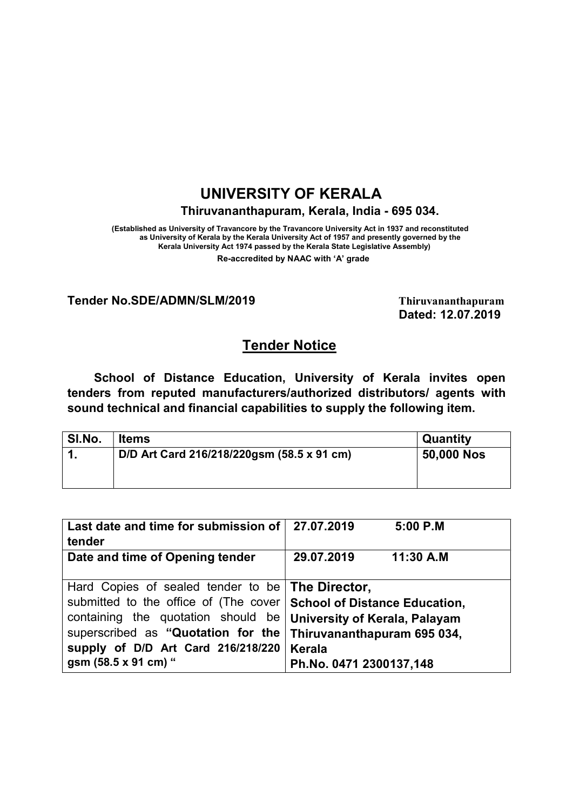# UNIVERSITY OF KERALA

### Thiruvananthapuram, Kerala, India - 695 034.

(Established as University of Travancore by the Travancore University Act in 1937 and reconstituted as University of Kerala by the Kerala University Act of 1957 and presently governed by the Kerala University Act 1974 passed by the Kerala State Legislative Assembly)

Re-accredited by NAAC with 'A' grade

#### Tender No.SDE/ADMN/SLM/2019 Thiruvananthapuram

Dated: 12.07.2019

## Tender Notice

School of Distance Education, University of Kerala invites open tenders from reputed manufacturers/authorized distributors/ agents with sound technical and financial capabilities to supply the following item.

| <b>Quantity</b> |
|-----------------|
| 50,000 Nos      |
|                 |
|                 |

| Last date and time for submission of                                  | 27.07.2019<br>5:00 P.M               |
|-----------------------------------------------------------------------|--------------------------------------|
| tender                                                                |                                      |
| Date and time of Opening tender                                       | 29.07.2019<br>11:30 A.M              |
|                                                                       |                                      |
| Hard Copies of sealed tender to be <b>The Director</b> ,              |                                      |
| submitted to the office of (The cover   School of Distance Education, |                                      |
| containing the quotation should be                                    | <b>University of Kerala, Palayam</b> |
| superscribed as "Quotation for the                                    | Thiruvananthapuram 695 034,          |
| supply of D/D Art Card 216/218/220                                    | <b>Kerala</b>                        |
| gsm (58.5 x 91 cm) "                                                  | Ph.No. 0471 2300137,148              |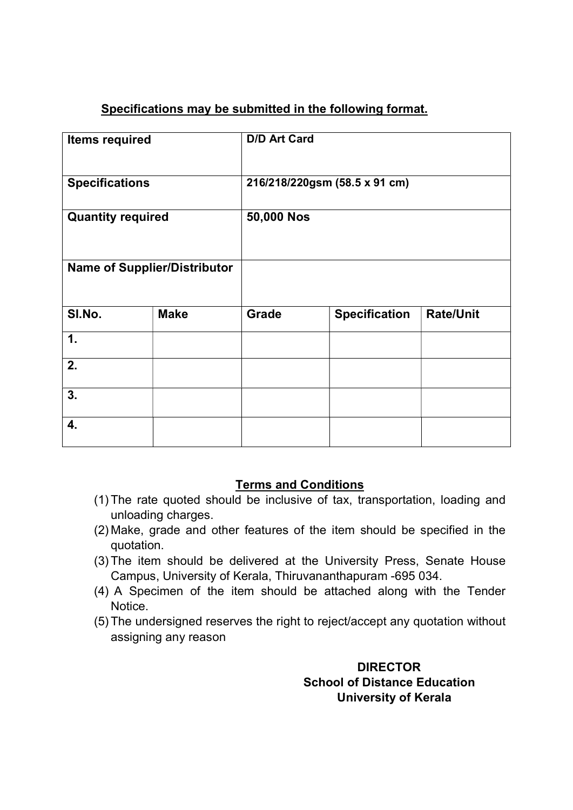## Specifications may be submitted in the following format.

| <b>Items required</b>               |             | <b>D/D Art Card</b> |                               |                  |
|-------------------------------------|-------------|---------------------|-------------------------------|------------------|
| <b>Specifications</b>               |             |                     | 216/218/220gsm (58.5 x 91 cm) |                  |
| <b>Quantity required</b>            |             | 50,000 Nos          |                               |                  |
| <b>Name of Supplier/Distributor</b> |             |                     |                               |                  |
| SI.No.                              | <b>Make</b> | <b>Grade</b>        | <b>Specification</b>          | <b>Rate/Unit</b> |
| 1.                                  |             |                     |                               |                  |
| 2.                                  |             |                     |                               |                  |
| 3.                                  |             |                     |                               |                  |
| 4.                                  |             |                     |                               |                  |

## Terms and Conditions

- (1) The rate quoted should be inclusive of tax, transportation, loading and unloading charges.
- (2) Make, grade and other features of the item should be specified in the quotation.
- (3) The item should be delivered at the University Press, Senate House Campus, University of Kerala, Thiruvananthapuram -695 034.
- (4) A Specimen of the item should be attached along with the Tender **Notice**
- (5) The undersigned reserves the right to reject/accept any quotation without assigning any reason

## **DIRECTOR**  School of Distance Education University of Kerala